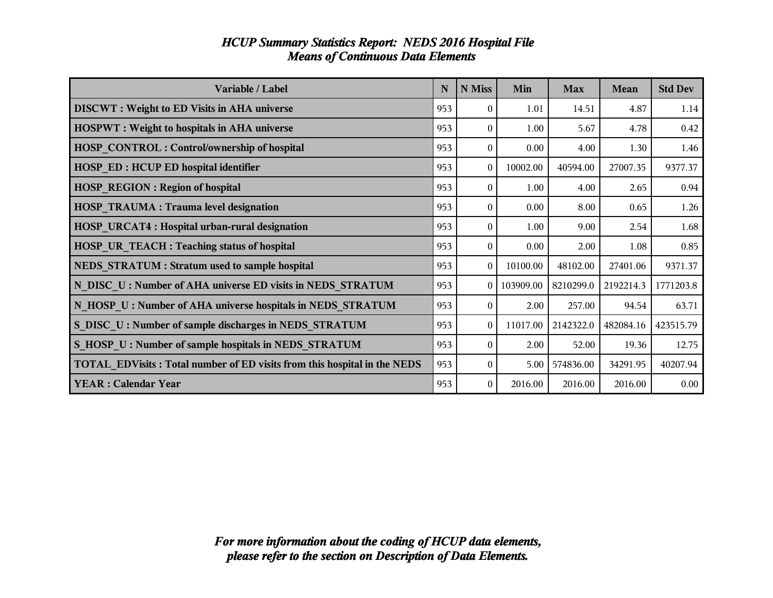| Variable / Label                                                         | N   | N Miss         | Min       | <b>Max</b> | Mean      | <b>Std Dev</b> |
|--------------------------------------------------------------------------|-----|----------------|-----------|------------|-----------|----------------|
| <b>DISCWT</b> : Weight to ED Visits in AHA universe                      | 953 | $\theta$       | 1.01      | 14.51      | 4.87      | 1.14           |
| <b>HOSPWT</b> : Weight to hospitals in AHA universe                      | 953 | $\theta$       | 1.00      | 5.67       | 4.78      | 0.42           |
| <b>HOSP CONTROL: Control/ownership of hospital</b>                       | 953 | $\Omega$       | 0.00      | 4.00       | 1.30      | 1.46           |
| <b>HOSP ED: HCUP ED hospital identifier</b>                              | 953 | $\theta$       | 10002.00  | 40594.00   | 27007.35  | 9377.37        |
| <b>HOSP REGION: Region of hospital</b>                                   | 953 | $\theta$       | 1.00      | 4.00       | 2.65      | 0.94           |
| <b>HOSP TRAUMA: Trauma level designation</b>                             | 953 | $\Omega$       | 0.00      | 8.00       | 0.65      | 1.26           |
| <b>HOSP URCAT4: Hospital urban-rural designation</b>                     | 953 | $\Omega$       | 1.00      | 9.00       | 2.54      | 1.68           |
| HOSP UR_TEACH : Teaching status of hospital                              | 953 | $\theta$       | 0.00      | 2.00       | 1.08      | 0.85           |
| <b>NEDS STRATUM : Stratum used to sample hospital</b>                    | 953 | $\theta$       | 10100.00  | 48102.00   | 27401.06  | 9371.37        |
| N DISC U: Number of AHA universe ED visits in NEDS STRATUM               | 953 | $\Omega$       | 103909.00 | 8210299.0  | 2192214.3 | 1771203.8      |
| N HOSP U: Number of AHA universe hospitals in NEDS STRATUM               | 953 | $\theta$       | 2.00      | 257.00     | 94.54     | 63.71          |
| S DISC U: Number of sample discharges in NEDS STRATUM                    | 953 | $\theta$       | 11017.00  | 2142322.0  | 482084.16 | 423515.79      |
| S HOSP U: Number of sample hospitals in NEDS STRATUM                     | 953 | $\Omega$       | 2.00      | 52.00      | 19.36     | 12.75          |
| TOTAL EDVisits: Total number of ED visits from this hospital in the NEDS | 953 | $\overline{0}$ | 5.00      | 574836.00  | 34291.95  | 40207.94       |
| <b>YEAR: Calendar Year</b>                                               | 953 | $\theta$       | 2016.00   | 2016.00    | 2016.00   | 0.00           |

#### *HCUP Summary Statistics Report: NEDS 2016 Hospital File Means of Continuous Data Elements*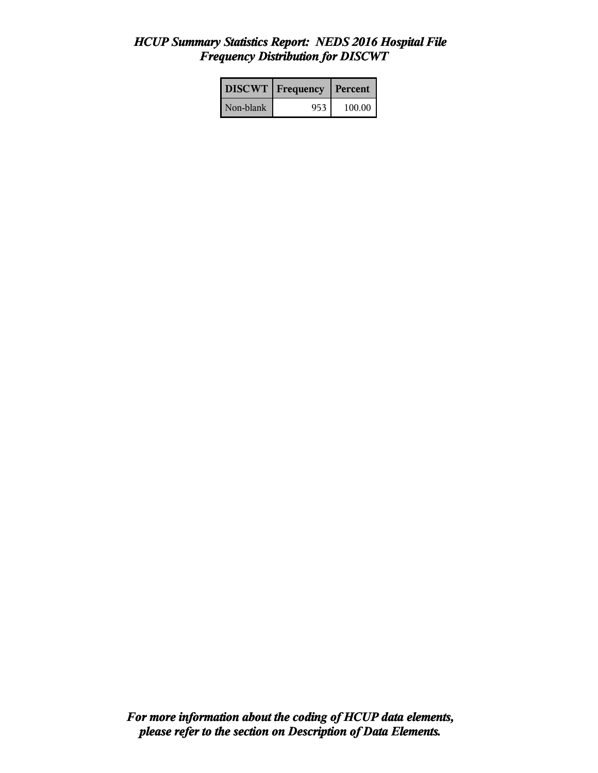# *HCUP Summary Statistics Report: NEDS 2016 Hospital File Frequency Distribution for DISCWT*

|           | <b>DISCWT</b>   Frequency | Percent  |
|-----------|---------------------------|----------|
| Non-blank | 953.                      | $100.00$ |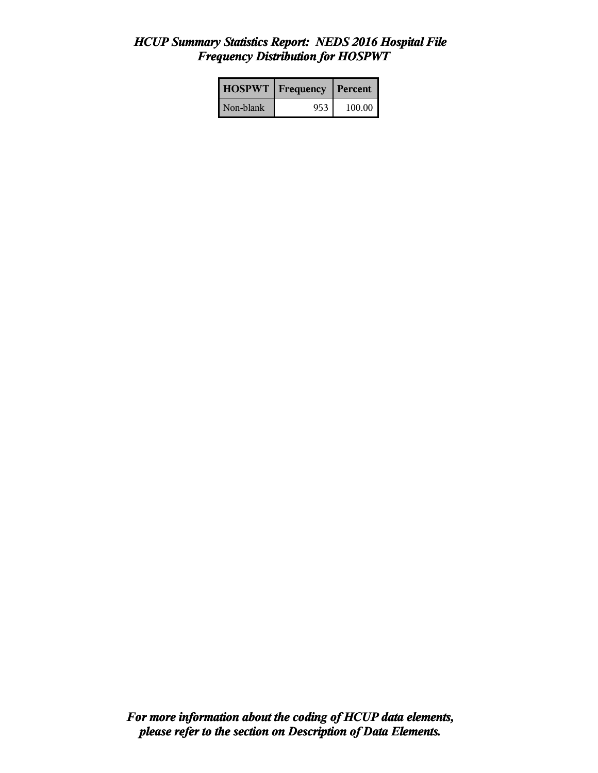# *HCUP Summary Statistics Report: NEDS 2016 Hospital File Frequency Distribution for HOSPWT*

| <b>HOSPWT</b>   Frequency |     | Percent  |
|---------------------------|-----|----------|
| Non-blank                 | 953 | 100.00 l |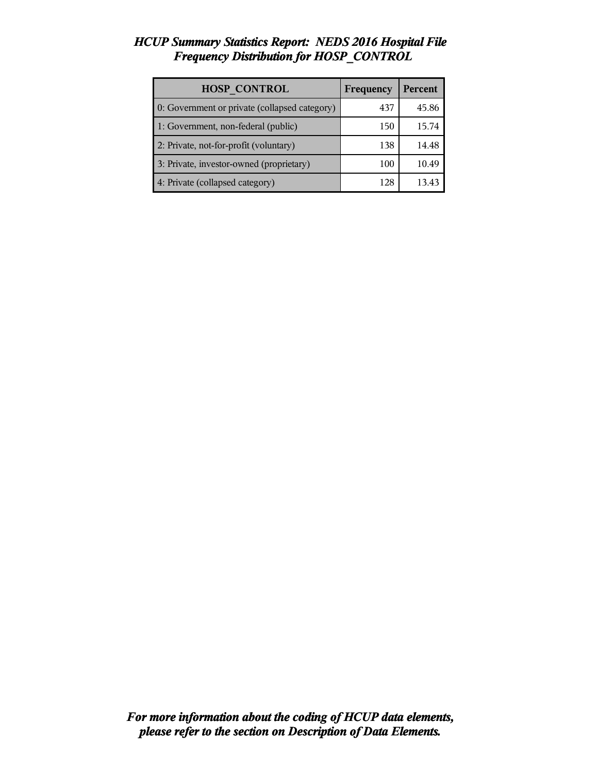# *HCUP Summary Statistics Report: NEDS 2016 Hospital File Frequency Distribution for HOSP\_CONTROL*

| <b>HOSP CONTROL</b>                           | Frequency | <b>Percent</b> |
|-----------------------------------------------|-----------|----------------|
| 0: Government or private (collapsed category) | 437       | 45.86          |
| 1: Government, non-federal (public)           | 150       | 15.74          |
| 2: Private, not-for-profit (voluntary)        | 138       | 14.48          |
| 3: Private, investor-owned (proprietary)      | 100       | 10.49          |
| 4: Private (collapsed category)               | 128       |                |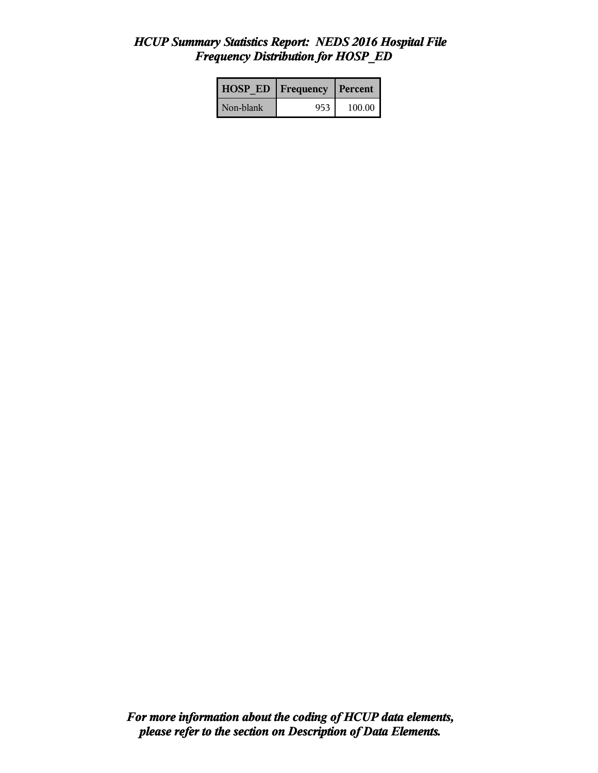## *HCUP Summary Statistics Report: NEDS 2016 Hospital File Frequency Distribution for HOSP\_ED*

| <b>HOSP ED</b> | Frequency | Percent |
|----------------|-----------|---------|
| Non-blank      | 953       | 100.00  |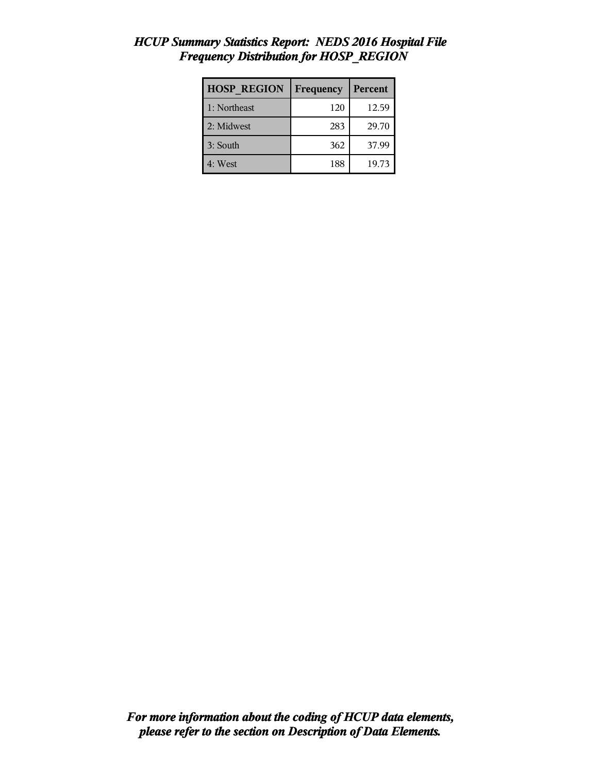| <b>HOSP REGION</b> | Frequency | Percent |
|--------------------|-----------|---------|
| 1: Northeast       | 120       | 12.59   |
| 2: Midwest         | 283       | 29.70   |
| 3: South           | 362       | 37.99   |
| 4: West            | 188       | 19.73   |

# *HCUP Summary Statistics Report: NEDS 2016 Hospital File Frequency Distribution for HOSP\_REGION*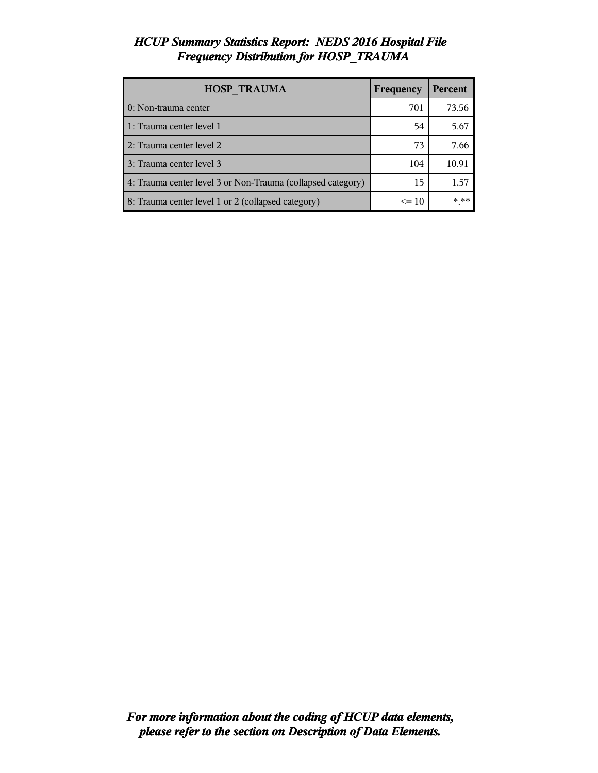# *HCUP Summary Statistics Report: NEDS 2016 Hospital File Frequency Distribution for HOSP\_TRAUMA*

| <b>HOSP TRAUMA</b>                                          | Frequency | <b>Percent</b> |
|-------------------------------------------------------------|-----------|----------------|
| 0: Non-trauma center                                        | 701       | 73.56          |
| 1: Trauma center level 1                                    | 54        | 5.67           |
| 2: Trauma center level 2                                    | 73        | 7.66           |
| 3: Trauma center level 3                                    | 104       | 10.91          |
| 4: Trauma center level 3 or Non-Trauma (collapsed category) | 15        | 1.57           |
| 8: Trauma center level 1 or 2 (collapsed category)          | $\leq$ 10 | $* * *$        |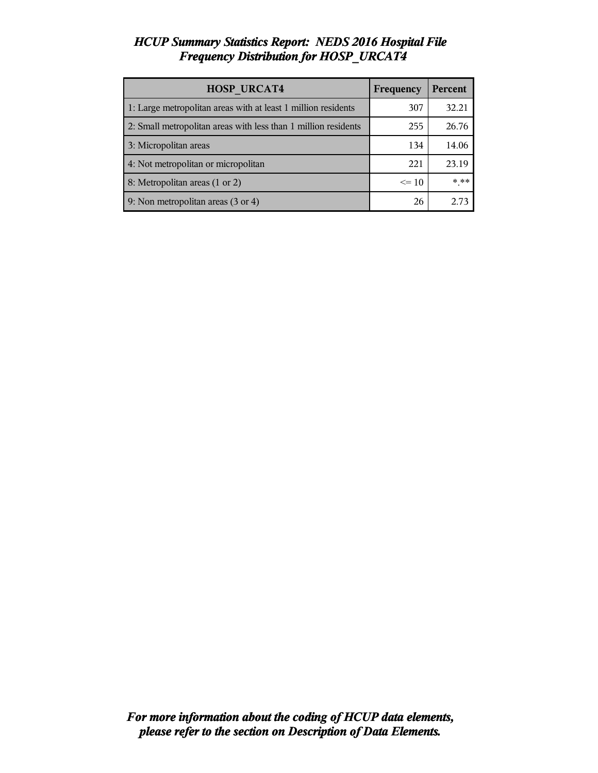# *HCUP Summary Statistics Report: NEDS 2016 Hospital File Frequency Distribution for HOSP\_URCAT4*

| <b>HOSP URCAT4</b>                                             | Frequency | Percent |
|----------------------------------------------------------------|-----------|---------|
| 1: Large metropolitan areas with at least 1 million residents  | 307       | 32.21   |
| 2: Small metropolitan areas with less than 1 million residents | 255       | 26.76   |
| 3: Micropolitan areas                                          | 134       | 14.06   |
| 4: Not metropolitan or micropolitan                            | 221       | 23.19   |
| 8: Metropolitan areas (1 or 2)                                 | $\leq$ 10 | $***$   |
| 9: Non metropolitan areas (3 or 4)                             | 26        | 2.73    |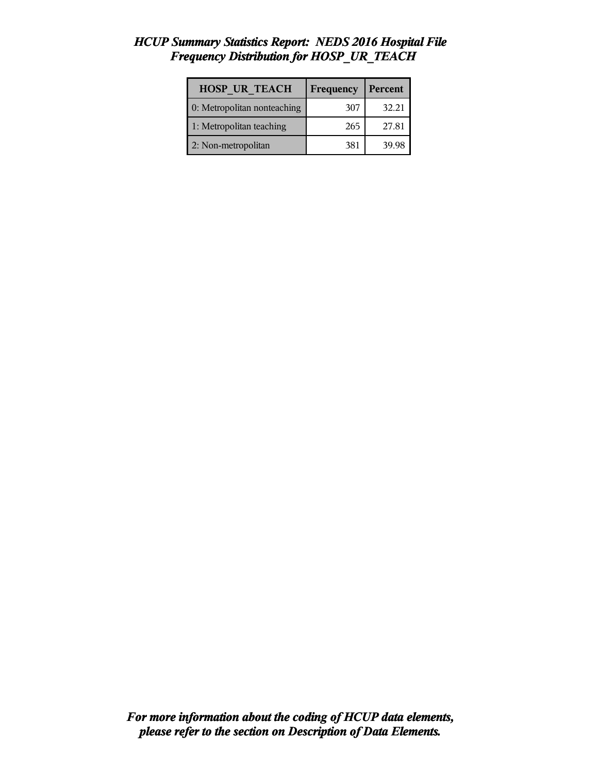# *HCUP Summary Statistics Report: NEDS 2016 Hospital File Frequency Distribution for HOSP\_UR\_TEACH*

| <b>HOSP UR TEACH</b>        | Frequency | Percent |
|-----------------------------|-----------|---------|
| 0: Metropolitan nonteaching | 307       | 32.21   |
| 1: Metropolitan teaching    | 265       | 27.81   |
| 2: Non-metropolitan         | 381       | 39.98   |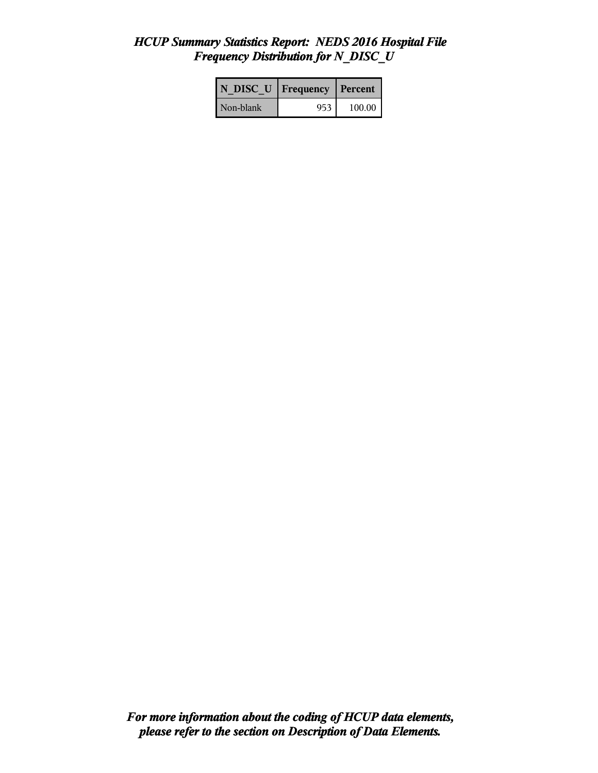# *HCUP Summary Statistics Report: NEDS 2016 Hospital File Frequency Distribution for N\_DISC\_U*

| N DISC U   Frequency |     | Percent |
|----------------------|-----|---------|
| Non-blank            | 953 | 100.00  |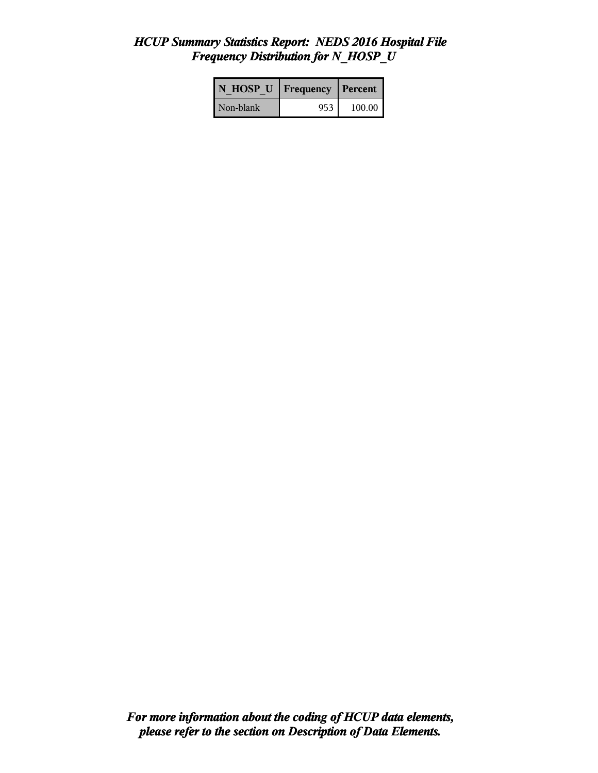# *HCUP Summary Statistics Report: NEDS 2016 Hospital File Frequency Distribution for N\_HOSP\_U*

| N HOSP U Frequency |     | Percent |
|--------------------|-----|---------|
| Non-blank          | 953 | 100.00  |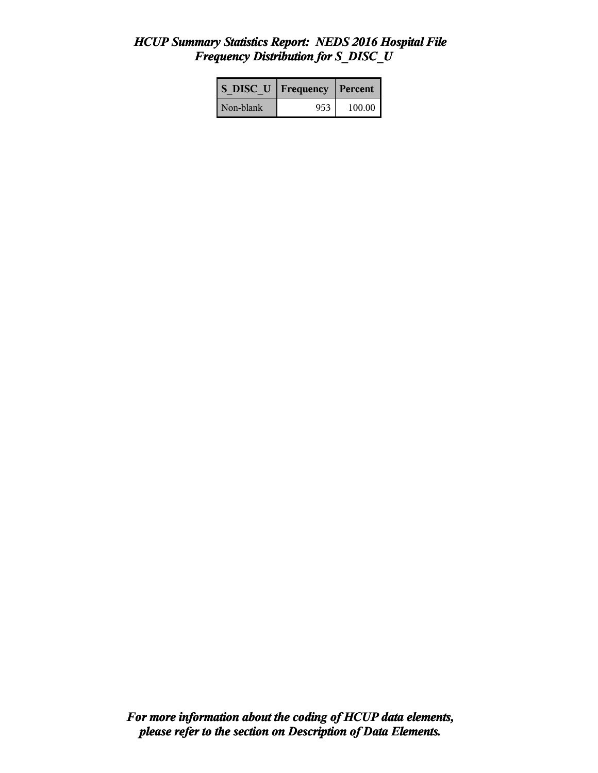# *HCUP Summary Statistics Report: NEDS 2016 Hospital File Frequency Distribution for S\_DISC\_U*

| <b>S DISC U</b> Frequency |      | Percent |
|---------------------------|------|---------|
| Non-blank                 | 953. | 100.00  |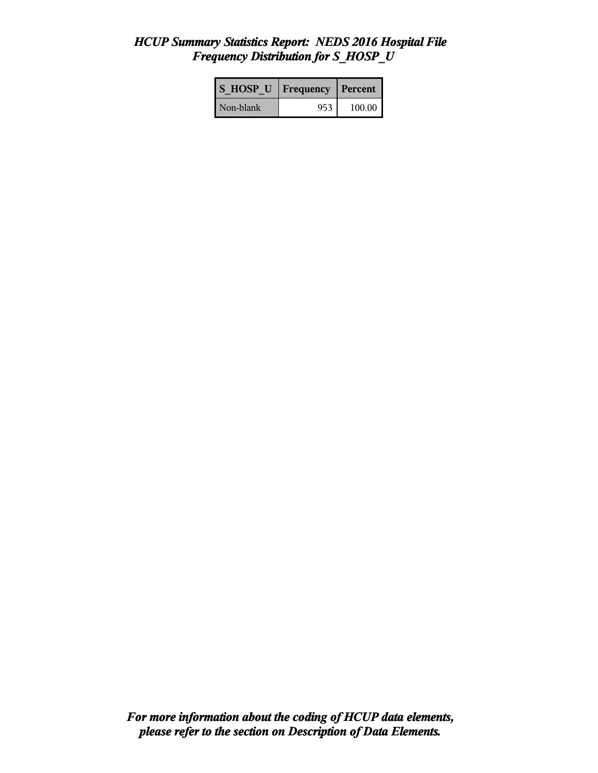# *HCUP Summary Statistics Report: NEDS 2016 Hospital File Frequency Distribution for S\_HOSP\_U*

| IS HOSP U | Frequency | <b>Percent</b> |
|-----------|-----------|----------------|
| Non-blank | 953       | 100.00         |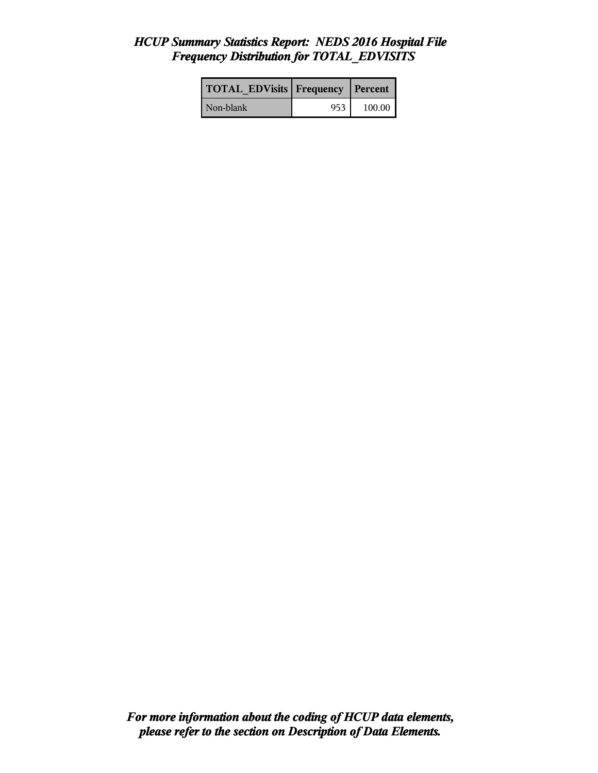## *HCUP Summary Statistics Report: NEDS 2016 Hospital File Frequency Distribution for TOTAL\_EDVISITS*

| <b>TOTAL EDVisits Frequency Percent</b> |     |        |
|-----------------------------------------|-----|--------|
| Non-blank                               | 953 | 100.00 |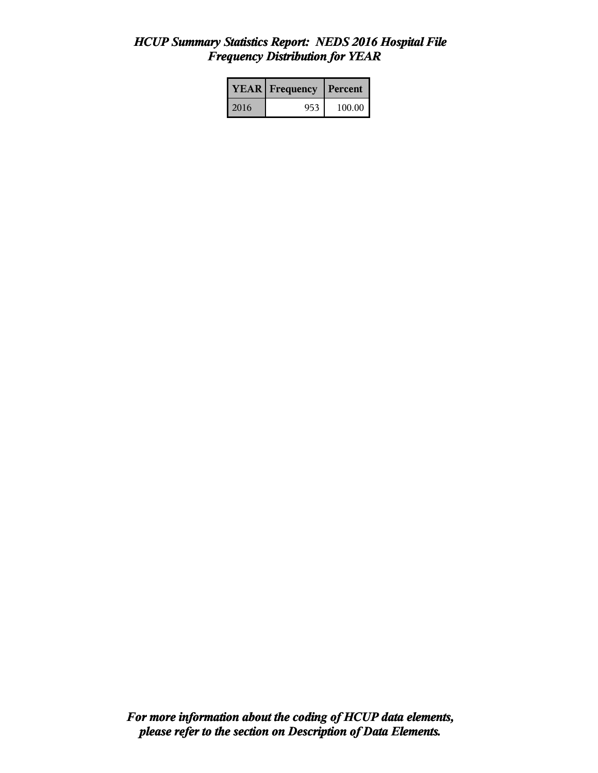# *HCUP Summary Statistics Report: NEDS 2016 Hospital File Frequency Distribution for YEAR*

|      | <b>YEAR</b> Frequency | Percent |  |
|------|-----------------------|---------|--|
| 2016 | 953                   | 100.00  |  |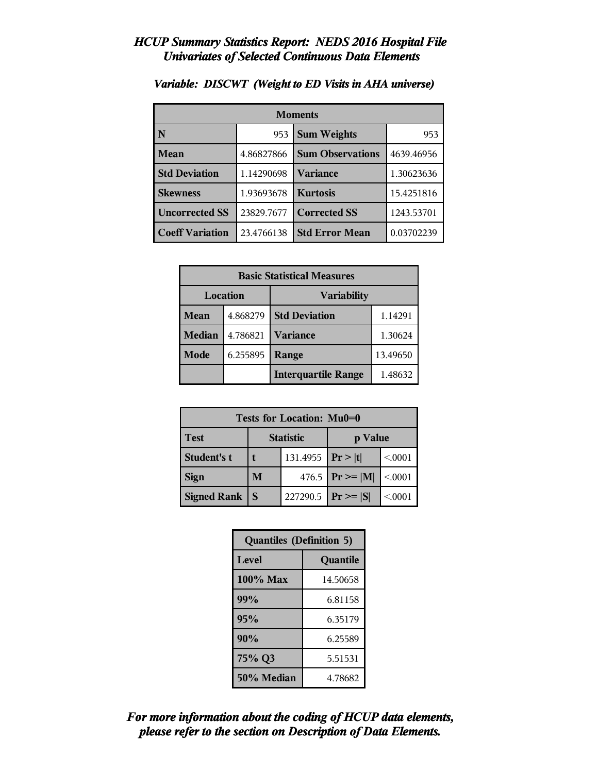| <b>Moments</b>         |            |                         |            |
|------------------------|------------|-------------------------|------------|
| N                      | 953        | <b>Sum Weights</b>      |            |
| Mean                   | 4.86827866 | <b>Sum Observations</b> | 4639.46956 |
| <b>Std Deviation</b>   | 1.14290698 | Variance                | 1.30623636 |
| <b>Skewness</b>        | 1.93693678 | <b>Kurtosis</b>         | 15.4251816 |
| <b>Uncorrected SS</b>  | 23829.7677 | <b>Corrected SS</b>     | 1243.53701 |
| <b>Coeff Variation</b> | 23.4766138 | <b>Std Error Mean</b>   | 0.03702239 |

## *Variable: DISCWT (Weight to ED Visits in AHA universe)*

| <b>Basic Statistical Measures</b> |          |                            |          |
|-----------------------------------|----------|----------------------------|----------|
| Location                          |          | <b>Variability</b>         |          |
| Mean                              | 4.868279 | <b>Std Deviation</b>       | 1.14291  |
| <b>Median</b>                     | 4.786821 | <b>Variance</b>            | 1.30624  |
| Mode                              | 6.255895 | Range                      | 13.49650 |
|                                   |          | <b>Interquartile Range</b> | 1.48632  |

| Tests for Location: Mu0=0 |                       |                  |                     |         |  |
|---------------------------|-----------------------|------------------|---------------------|---------|--|
| Test                      |                       | <b>Statistic</b> | p Value             |         |  |
| Student's t               | 131.4955   $Pr >  t $ |                  |                     | < 0.001 |  |
| <b>Sign</b>               | M                     |                  | 476.5 $ Pr \ge  M $ | < 0001  |  |
| <b>Signed Rank</b>        | S                     | 227290.5         | $ Pr \ge  S $       | < 0001  |  |

| <b>Quantiles (Definition 5)</b> |          |  |
|---------------------------------|----------|--|
| Level                           | Quantile |  |
| 100% Max                        | 14.50658 |  |
| 99%<br>6.81158                  |          |  |
| 95%                             | 6.35179  |  |
| 90%                             | 6.25589  |  |
| 75% Q3<br>5.51531               |          |  |
| 50% Median<br>4.78682           |          |  |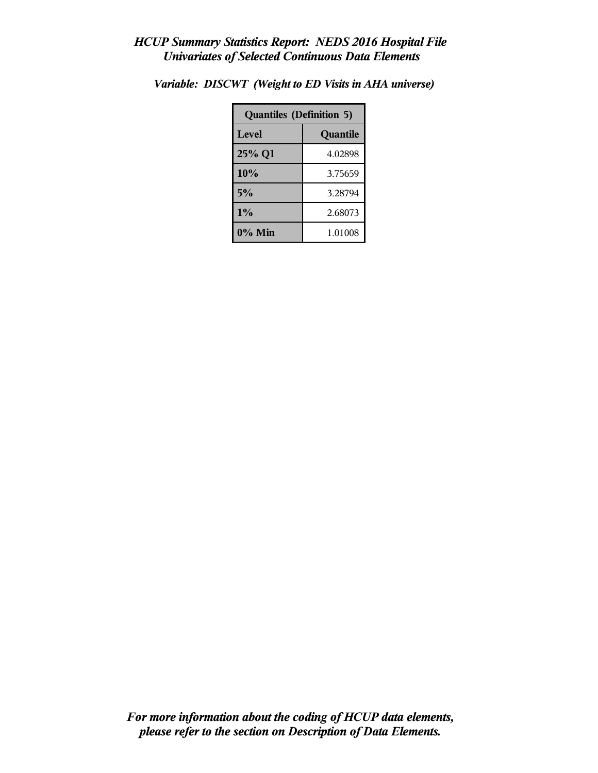| <b>Quantiles (Definition 5)</b> |          |  |
|---------------------------------|----------|--|
| <b>Level</b>                    | Quantile |  |
| 25% Q1                          | 4.02898  |  |
| 10%                             | 3.75659  |  |
| 5%                              | 3.28794  |  |
| $1\%$<br>2.68073                |          |  |
| $0\%$ Min<br>1.01008            |          |  |

*Variable: DISCWT (Weight to ED Visits in AHA universe)*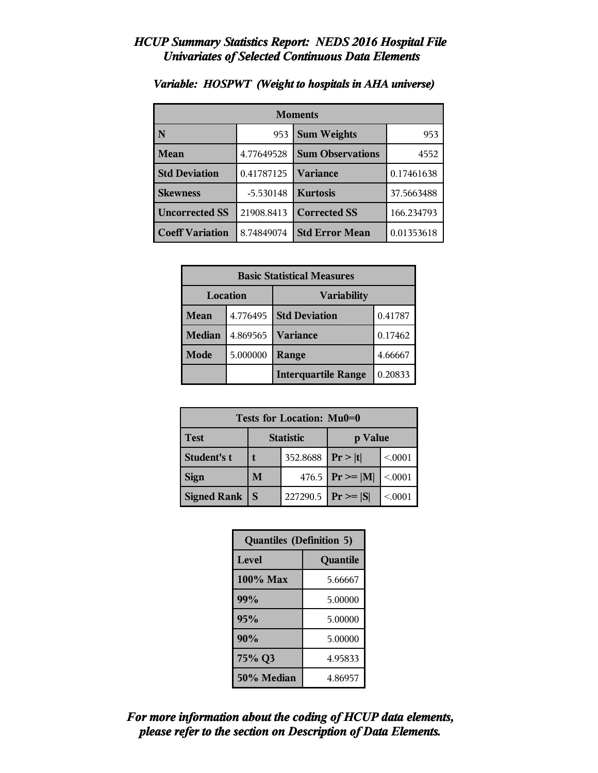| <b>Moments</b>         |             |                         |            |
|------------------------|-------------|-------------------------|------------|
| N                      | 953         | <b>Sum Weights</b>      | 953        |
| <b>Mean</b>            | 4.77649528  | <b>Sum Observations</b> | 4552       |
| <b>Std Deviation</b>   | 0.41787125  | <b>Variance</b>         | 0.17461638 |
| <b>Skewness</b>        | $-5.530148$ | <b>Kurtosis</b>         | 37.5663488 |
| <b>Uncorrected SS</b>  | 21908.8413  | <b>Corrected SS</b>     | 166.234793 |
| <b>Coeff Variation</b> | 8.74849074  | <b>Std Error Mean</b>   | 0.01353618 |

# *Variable: HOSPWT (Weight to hospitals in AHA universe)*

| <b>Basic Statistical Measures</b> |          |                            |         |
|-----------------------------------|----------|----------------------------|---------|
| Location                          |          | <b>Variability</b>         |         |
| Mean                              | 4.776495 | <b>Std Deviation</b>       | 0.41787 |
| <b>Median</b>                     | 4.869565 | <b>Variance</b>            | 0.17462 |
| Mode                              | 5.000000 | Range                      | 4.66667 |
|                                   |          | <b>Interquartile Range</b> | 0.20833 |

| Tests for Location: Mu0=0 |                             |          |                    |         |  |
|---------------------------|-----------------------------|----------|--------------------|---------|--|
| Test                      | <b>Statistic</b><br>p Value |          |                    |         |  |
| Student's t               | 352.8688                    |          | Pr >  t            | < 0.001 |  |
| <b>Sign</b>               | M                           |          | 476.5 $Pr \ge  M $ | < 0001  |  |
| <b>Signed Rank</b>        | S                           | 227290.5 | $ Pr \ge  S $      | < 0001  |  |

| <b>Quantiles (Definition 5)</b> |          |  |
|---------------------------------|----------|--|
| Level                           | Quantile |  |
| $100\%$ Max                     | 5.66667  |  |
| 99%                             | 5.00000  |  |
| 95%                             | 5.00000  |  |
| 90%<br>5.00000                  |          |  |
| 75% Q3<br>4.95833               |          |  |
| 50% Median<br>4.86957           |          |  |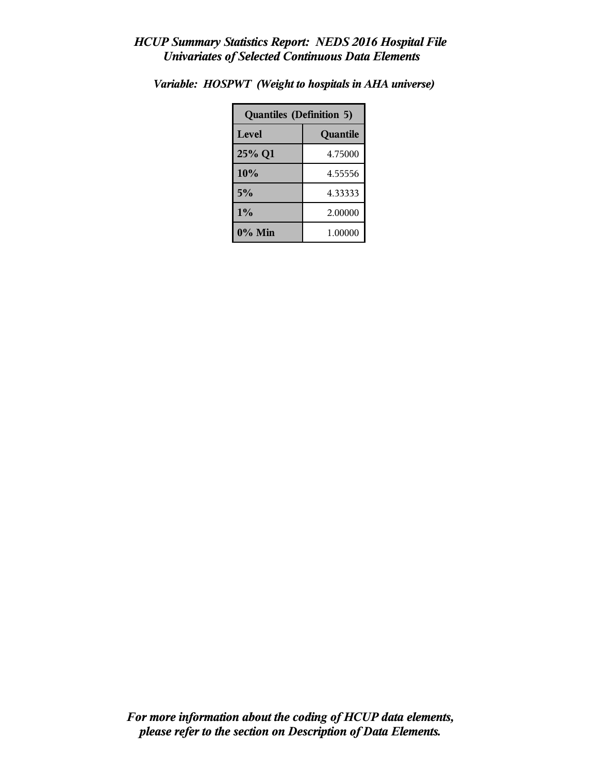| <b>Quantiles (Definition 5)</b> |          |  |
|---------------------------------|----------|--|
| Level                           | Quantile |  |
| 25% Q1                          | 4.75000  |  |
| 10%                             | 4.55556  |  |
| 5%                              | 4.33333  |  |
| $1\%$<br>2.00000                |          |  |
| $0\%$ Min                       | 1.00000  |  |

*Variable: HOSPWT (Weight to hospitals in AHA universe)*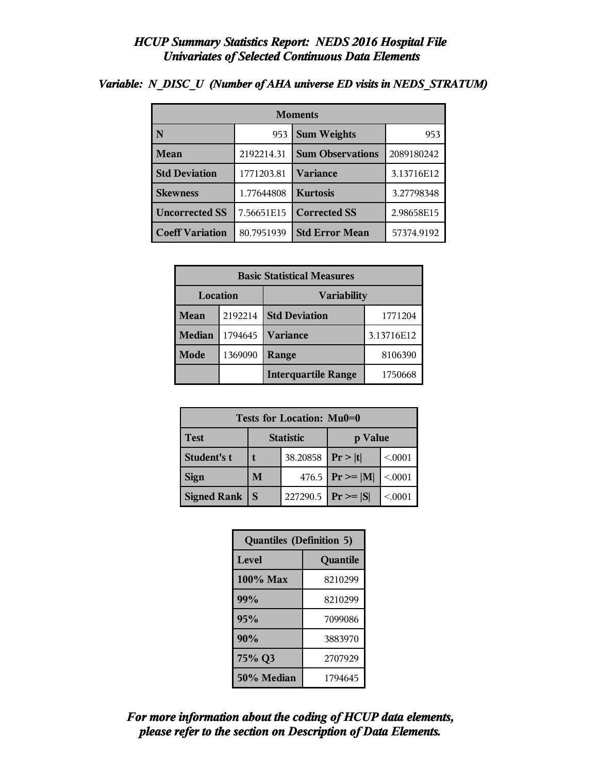| <b>Moments</b>         |            |                         |            |  |
|------------------------|------------|-------------------------|------------|--|
|                        | 953        | <b>Sum Weights</b>      | 953        |  |
| <b>Mean</b>            | 2192214.31 | <b>Sum Observations</b> | 2089180242 |  |
| <b>Std Deviation</b>   | 1771203.81 | Variance                | 3.13716E12 |  |
| <b>Skewness</b>        | 1.77644808 | <b>Kurtosis</b>         | 3.27798348 |  |
| <b>Uncorrected SS</b>  | 7.56651E15 | <b>Corrected SS</b>     | 2.98658E15 |  |
| <b>Coeff Variation</b> | 80.7951939 | <b>Std Error Mean</b>   | 57374.9192 |  |

## *Variable: N\_DISC\_U (Number of AHA universe ED visits in NEDS\_STRATUM)*

| <b>Basic Statistical Measures</b> |         |                                 |            |  |
|-----------------------------------|---------|---------------------------------|------------|--|
| Location<br><b>Variability</b>    |         |                                 |            |  |
| Mean                              | 2192214 | <b>Std Deviation</b><br>1771204 |            |  |
| <b>Median</b>                     | 1794645 | <b>Variance</b>                 | 3.13716E12 |  |
| Mode                              | 1369090 | Range                           | 8106390    |  |
|                                   |         | <b>Interquartile Range</b>      | 1750668    |  |

| Tests for Location: Mu0=0 |                             |          |                    |         |  |
|---------------------------|-----------------------------|----------|--------------------|---------|--|
| Test                      | <b>Statistic</b><br>p Value |          |                    |         |  |
| Student's t               |                             | 38.20858 | Pr >  t            | < 0.001 |  |
| <b>Sign</b>               | M                           |          | 476.5 $Pr \ge  M $ | < 0.001 |  |
| <b>Signed Rank</b>        | S                           | 227290.5 | $Pr \geq  S $      | < 0.001 |  |

| <b>Quantiles (Definition 5)</b> |          |  |
|---------------------------------|----------|--|
| Level                           | Quantile |  |
| $100\%$ Max<br>8210299          |          |  |
| 99%                             | 8210299  |  |
| 95%                             | 7099086  |  |
| 90%                             | 3883970  |  |
| 75% Q3<br>2707929               |          |  |
| 50% Median<br>1794645           |          |  |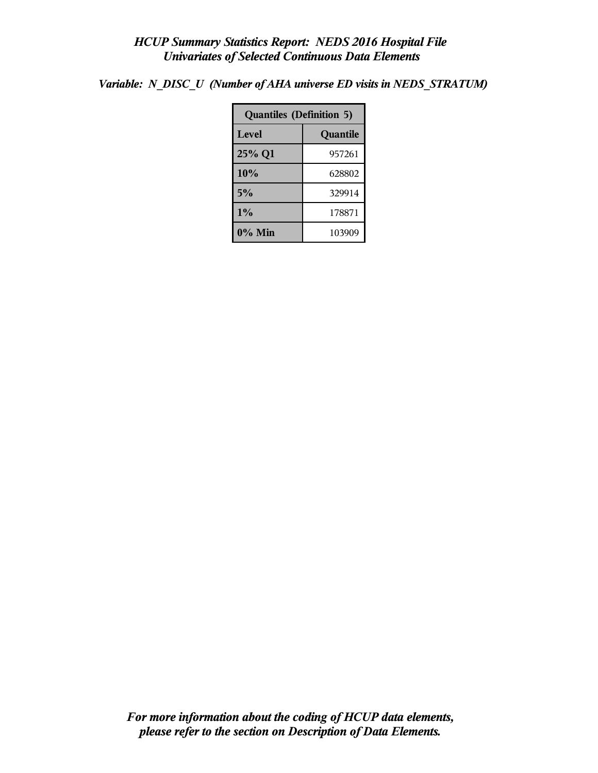*Variable: N\_DISC\_U (Number of AHA universe ED visits in NEDS\_STRATUM)*

| <b>Quantiles (Definition 5)</b> |          |  |  |  |
|---------------------------------|----------|--|--|--|
| Level                           | Quantile |  |  |  |
| 25% Q1                          | 957261   |  |  |  |
| 10%                             | 628802   |  |  |  |
| 5%                              | 329914   |  |  |  |
| 1%<br>178871                    |          |  |  |  |
| $0\%$ Min<br>103909             |          |  |  |  |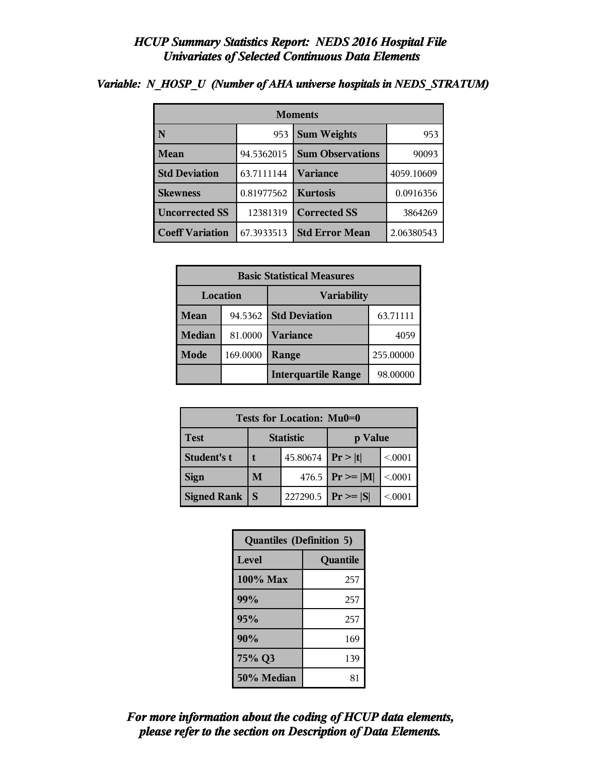| <b>Moments</b>         |            |                         |            |
|------------------------|------------|-------------------------|------------|
| N                      | 953        | <b>Sum Weights</b>      | 953        |
| <b>Mean</b>            | 94.5362015 | <b>Sum Observations</b> | 90093      |
| <b>Std Deviation</b>   | 63.7111144 | <b>Variance</b>         | 4059.10609 |
| <b>Skewness</b>        | 0.81977562 | <b>Kurtosis</b>         | 0.0916356  |
| <b>Uncorrected SS</b>  | 12381319   | <b>Corrected SS</b>     | 3864269    |
| <b>Coeff Variation</b> | 67.3933513 | <b>Std Error Mean</b>   | 2.06380543 |

## *Variable: N\_HOSP\_U (Number of AHA universe hospitals in NEDS\_STRATUM)*

| <b>Basic Statistical Measures</b> |          |                            |           |
|-----------------------------------|----------|----------------------------|-----------|
| Location<br><b>Variability</b>    |          |                            |           |
| Mean                              | 94.5362  | <b>Std Deviation</b>       | 63.71111  |
| <b>Median</b>                     | 81.0000  | <b>Variance</b>            | 4059      |
| <b>Mode</b>                       | 169.0000 | Range                      | 255.00000 |
|                                   |          | <b>Interquartile Range</b> | 98.00000  |

| Tests for Location: Mu0=0 |                             |          |                    |         |  |
|---------------------------|-----------------------------|----------|--------------------|---------|--|
| <b>Test</b>               | <b>Statistic</b><br>p Value |          |                    |         |  |
| Student's t               |                             | 45.80674 | Pr> t              | < 0.001 |  |
| <b>Sign</b>               | M                           |          | 476.5 $Pr \ge  M $ | < .0001 |  |
| <b>Signed Rank</b>        | S                           | 227290.5 | $ Pr \ge =  S $    | < 0001  |  |

| <b>Quantiles (Definition 5)</b> |          |  |
|---------------------------------|----------|--|
| Level                           | Quantile |  |
| $100\%$ Max                     | 257      |  |
| 99%                             | 257      |  |
| 95%                             | 257      |  |
| 90%                             | 169      |  |
| 75% Q3                          | 139      |  |
| 50% Median                      | 81       |  |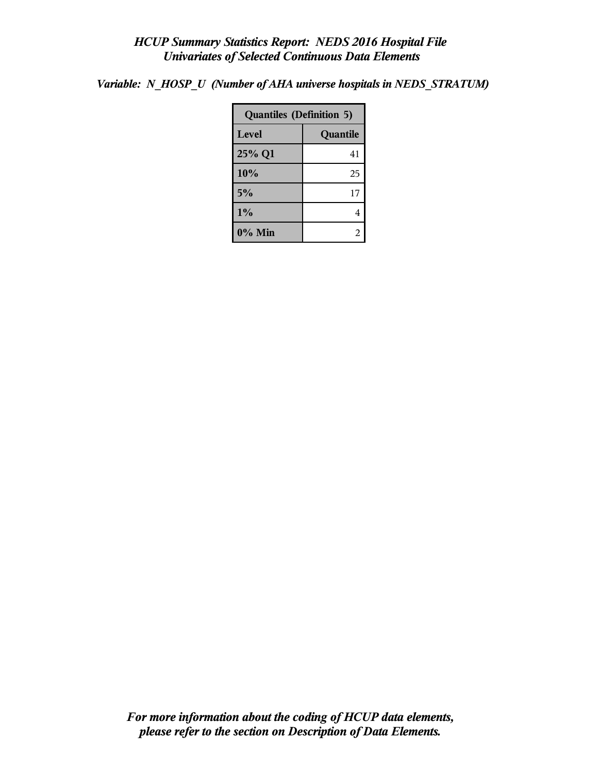*Variable: N\_HOSP\_U (Number of AHA universe hospitals in NEDS\_STRATUM)*

| <b>Quantiles (Definition 5)</b> |          |  |
|---------------------------------|----------|--|
| Level                           | Quantile |  |
| 25% Q1                          | 41       |  |
| 10%                             | 25       |  |
| 5%                              | 17       |  |
| 1%<br>4                         |          |  |
| $0\%$ Min                       | 2        |  |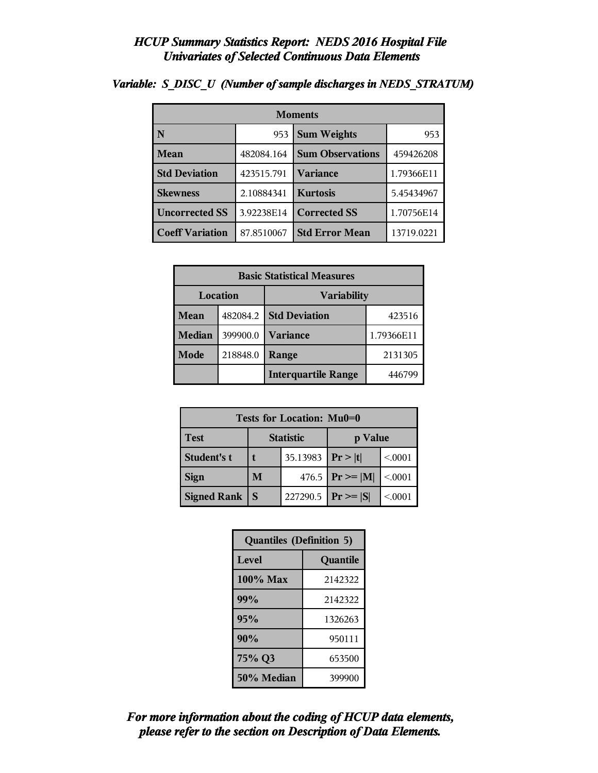| <b>Moments</b>         |            |                         |            |  |
|------------------------|------------|-------------------------|------------|--|
| N                      | 953        | <b>Sum Weights</b>      |            |  |
| Mean                   | 482084.164 | <b>Sum Observations</b> | 459426208  |  |
| <b>Std Deviation</b>   | 423515.791 | Variance                | 1.79366E11 |  |
| <b>Skewness</b>        | 2.10884341 | <b>Kurtosis</b>         | 5.45434967 |  |
| <b>Uncorrected SS</b>  | 3.92238E14 | <b>Corrected SS</b>     | 1.70756E14 |  |
| <b>Coeff Variation</b> | 87.8510067 | <b>Std Error Mean</b>   | 13719.0221 |  |

## *Variable: S\_DISC\_U (Number of sample discharges in NEDS\_STRATUM)*

| <b>Basic Statistical Measures</b> |          |                            |            |  |  |
|-----------------------------------|----------|----------------------------|------------|--|--|
| Location<br><b>Variability</b>    |          |                            |            |  |  |
| <b>Mean</b>                       | 482084.2 | <b>Std Deviation</b>       | 423516     |  |  |
| Median                            | 399900.0 | Variance                   | 1.79366E11 |  |  |
| Mode                              | 218848.0 | Range                      | 2131305    |  |  |
|                                   |          | <b>Interquartile Range</b> | 446799     |  |  |

| Tests for Location: Mu0=0 |                             |          |                    |         |  |  |
|---------------------------|-----------------------------|----------|--------------------|---------|--|--|
| <b>Test</b>               | <b>Statistic</b><br>p Value |          |                    |         |  |  |
| <b>Student's t</b>        | t                           | 35.13983 | Pr >  t            | < 0.001 |  |  |
| <b>Sign</b>               | M                           |          | 476.5 $Pr \ge  M $ | < 0.001 |  |  |
| <b>Signed Rank</b><br>S   |                             | 227290.5 | $ Pr \ge  S $      | < 0001  |  |  |

| <b>Quantiles (Definition 5)</b> |          |  |  |
|---------------------------------|----------|--|--|
| <b>Level</b>                    | Quantile |  |  |
| 100% Max                        | 2142322  |  |  |
| 99%                             | 2142322  |  |  |
| 95%                             | 1326263  |  |  |
| 90%                             | 950111   |  |  |
| 75% Q3<br>653500                |          |  |  |
| 50% Median                      | 399900   |  |  |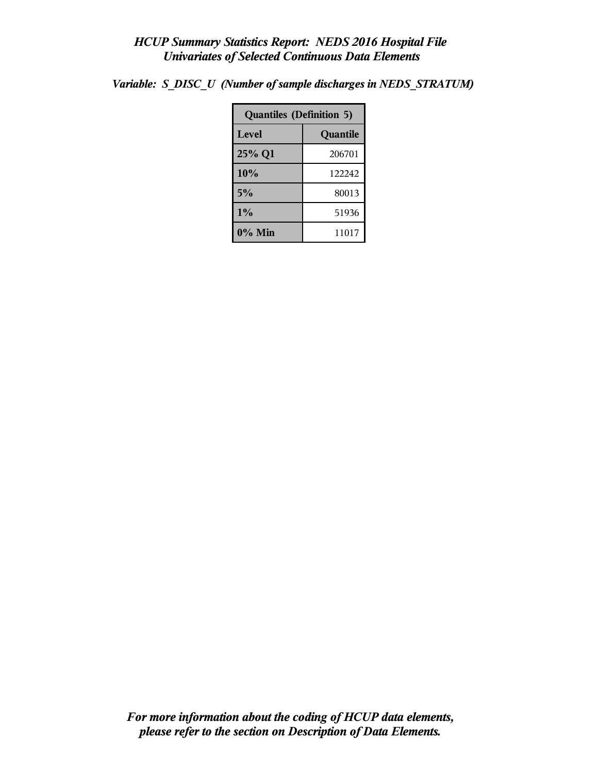| <b>Quantiles (Definition 5)</b> |          |  |  |
|---------------------------------|----------|--|--|
| Level                           | Quantile |  |  |
| 25% Q1                          | 206701   |  |  |
| 10%                             | 122242   |  |  |
| 5%                              | 80013    |  |  |
| 1%                              | 51936    |  |  |
| 0% Min                          | 11017    |  |  |

*Variable: S\_DISC\_U (Number of sample discharges in NEDS\_STRATUM)*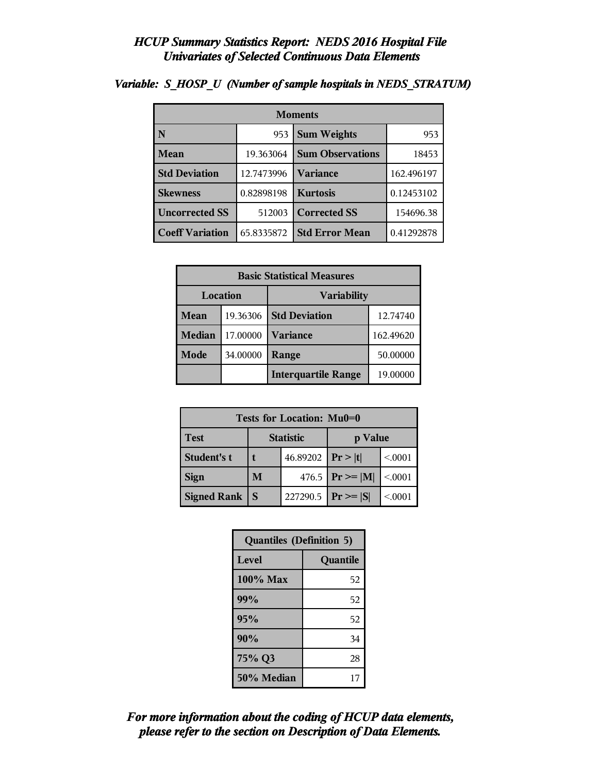| <b>Moments</b>                     |            |                         |            |  |
|------------------------------------|------------|-------------------------|------------|--|
| N                                  | 953        | <b>Sum Weights</b>      | 953        |  |
| Mean                               | 19.363064  | <b>Sum Observations</b> | 18453      |  |
| <b>Std Deviation</b><br>12.7473996 |            | Variance                | 162.496197 |  |
| <b>Skewness</b>                    | 0.82898198 | <b>Kurtosis</b>         | 0.12453102 |  |
| <b>Uncorrected SS</b><br>512003    |            | <b>Corrected SS</b>     | 154696.38  |  |
| <b>Coeff Variation</b>             | 65.8335872 | <b>Std Error Mean</b>   | 0.41292878 |  |

### *Variable: S\_HOSP\_U (Number of sample hospitals in NEDS\_STRATUM)*

| <b>Basic Statistical Measures</b> |          |                            |           |  |
|-----------------------------------|----------|----------------------------|-----------|--|
| Location<br><b>Variability</b>    |          |                            |           |  |
| Mean                              | 19.36306 | <b>Std Deviation</b>       | 12.74740  |  |
| <b>Median</b>                     | 17.00000 | <b>Variance</b>            | 162.49620 |  |
| Mode                              | 34.00000 | Range                      | 50.00000  |  |
|                                   |          | <b>Interquartile Range</b> | 19.00000  |  |

| Tests for Location: Mu0=0 |                             |                       |                     |         |  |  |
|---------------------------|-----------------------------|-----------------------|---------------------|---------|--|--|
| <b>Test</b>               | <b>Statistic</b><br>p Value |                       |                     |         |  |  |
| Student's t               |                             | 46.89202   $Pr >  t $ |                     | < 0.001 |  |  |
| <b>Sign</b>               | M                           |                       | 476.5 $ Pr \ge  M $ | < .0001 |  |  |
| <b>Signed Rank</b><br>S   |                             | 227290.5              | $Pr \geq  S $       | < 0001  |  |  |

| <b>Quantiles (Definition 5)</b> |          |  |  |  |
|---------------------------------|----------|--|--|--|
| Level                           | Quantile |  |  |  |
| 100% Max                        | 52       |  |  |  |
| 99%                             | 52       |  |  |  |
| 95%                             | 52       |  |  |  |
| 90%                             | 34       |  |  |  |
| 75% Q3                          | 28       |  |  |  |
| 50% Median                      | 17       |  |  |  |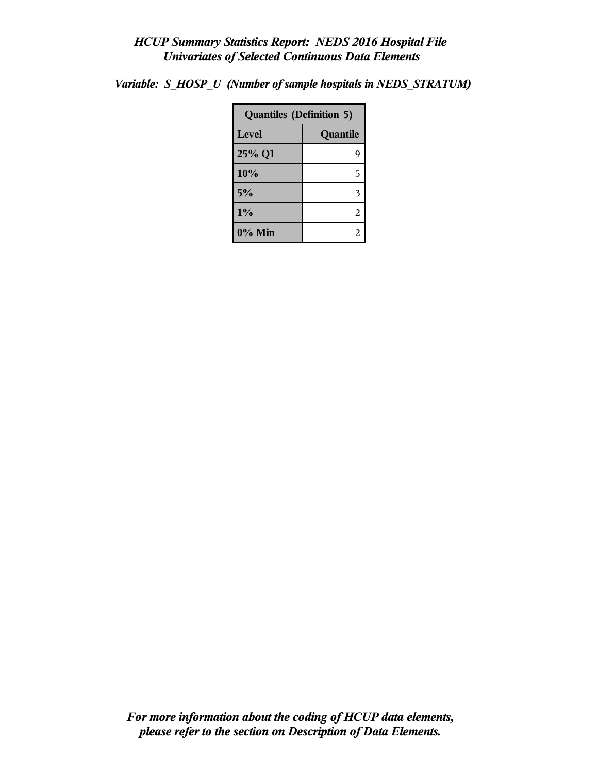| <b>Quantiles (Definition 5)</b> |          |  |
|---------------------------------|----------|--|
| Level                           | Quantile |  |
| 25% Q1                          | g        |  |
| 10%                             | 5        |  |
| 5%                              | 3        |  |
| $1\%$                           | 2        |  |
| $0\%$ Min                       | 2        |  |

*Variable: S\_HOSP\_U (Number of sample hospitals in NEDS\_STRATUM)*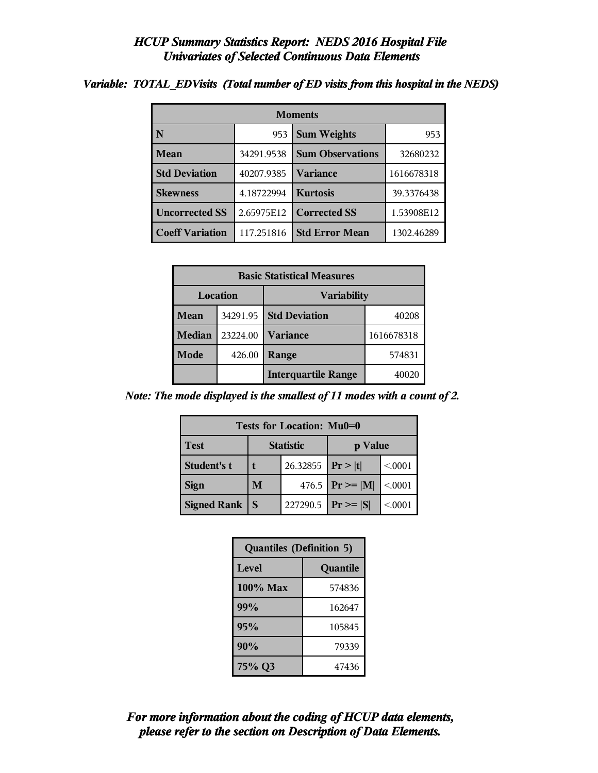| <b>Moments</b>                      |            |                         |            |  |  |
|-------------------------------------|------------|-------------------------|------------|--|--|
| N                                   | 953        | <b>Sum Weights</b>      | 953        |  |  |
| <b>Mean</b>                         | 34291.9538 | <b>Sum Observations</b> | 32680232   |  |  |
| <b>Std Deviation</b><br>40207.9385  |            | Variance                | 1616678318 |  |  |
| <b>Skewness</b>                     | 4.18722994 | <b>Kurtosis</b>         | 39.3376438 |  |  |
| <b>Uncorrected SS</b><br>2.65975E12 |            | <b>Corrected SS</b>     | 1.53908E12 |  |  |
| <b>Coeff Variation</b>              | 117.251816 | <b>Std Error Mean</b>   | 1302.46289 |  |  |

*Variable: TOTAL\_EDVisits (Total number of ED visits from this hospital in the NEDS)*

| <b>Basic Statistical Measures</b> |          |                            |            |  |  |
|-----------------------------------|----------|----------------------------|------------|--|--|
| Location<br><b>Variability</b>    |          |                            |            |  |  |
| Mean                              | 34291.95 | <b>Std Deviation</b>       | 40208      |  |  |
| <b>Median</b>                     | 23224.00 | <b>Variance</b>            | 1616678318 |  |  |
| <b>Mode</b>                       | 426.00   | Range                      | 574831     |  |  |
|                                   |          | <b>Interquartile Range</b> | 40020      |  |  |

*Note: The mode displayed is the smallest of 11 modes with a count of 2.*

| Tests for Location: Mu0=0 |                             |  |                         |         |  |  |
|---------------------------|-----------------------------|--|-------------------------|---------|--|--|
| <b>Test</b>               | <b>Statistic</b><br>p Value |  |                         |         |  |  |
| Student's t               | 26.32855   $Pr >  t $       |  |                         | < 0.001 |  |  |
| <b>Sign</b>               | M                           |  | 476.5 $ Pr \ge  M $     | < 0.001 |  |  |
| Signed Rank               | <sub>S</sub>                |  | 227290.5   $Pr \ge  S $ | < .0001 |  |  |

| <b>Quantiles (Definition 5)</b> |          |
|---------------------------------|----------|
| Level                           | Quantile |
| $100\%$ Max                     | 574836   |
| 99%                             | 162647   |
| 95%                             | 105845   |
| 90%                             | 79339    |
| 75% Q3                          | 47436    |